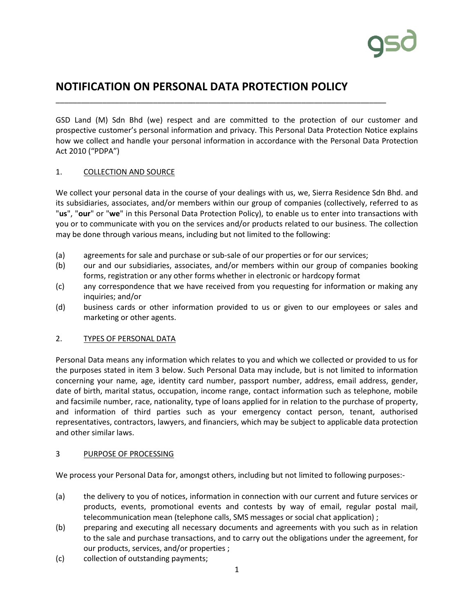# **NOTIFICATION ON PERSONAL DATA PROTECTION POLICY**

\_\_\_\_\_\_\_\_\_\_\_\_\_\_\_\_\_\_\_\_\_\_\_\_\_\_\_\_\_\_\_\_\_\_\_\_\_\_\_\_\_\_\_\_\_\_\_\_\_\_\_\_\_\_\_\_\_\_\_\_\_\_\_\_\_\_\_\_\_\_\_\_\_\_\_\_\_\_

GSD Land (M) Sdn Bhd (we) respect and are committed to the protection of our customer and prospective customer's personal information and privacy. This Personal Data Protection Notice explains how we collect and handle your personal information in accordance with the Personal Data Protection Act 2010 ("PDPA")

# 1. COLLECTION AND SOURCE

We collect your personal data in the course of your dealings with us, we, Sierra Residence Sdn Bhd. and its subsidiaries, associates, and/or members within our group of companies (collectively, referred to as "**us**", "**our**" or "**we**" in this Personal Data Protection Policy), to enable us to enter into transactions with you or to communicate with you on the services and/or products related to our business. The collection may be done through various means, including but not limited to the following:

- (a) agreements for sale and purchase or sub-sale of our properties or for our services;
- (b) our and our subsidiaries, associates, and/or members within our group of companies booking forms, registration or any other forms whether in electronic or hardcopy format
- (c) any correspondence that we have received from you requesting for information or making any inquiries; and/or
- (d) business cards or other information provided to us or given to our employees or sales and marketing or other agents.

# 2. TYPES OF PERSONAL DATA

Personal Data means any information which relates to you and which we collected or provided to us for the purposes stated in item 3 below. Such Personal Data may include, but is not limited to information concerning your name, age, identity card number, passport number, address, email address, gender, date of birth, marital status, occupation, income range, contact information such as telephone, mobile and facsimile number, race, nationality, type of loans applied for in relation to the purchase of property, and information of third parties such as your emergency contact person, tenant, authorised representatives, contractors, lawyers, and financiers, which may be subject to applicable data protection and other similar laws.

# 3 PURPOSE OF PROCESSING

We process your Personal Data for, amongst others, including but not limited to following purposes:-

- (a) the delivery to you of notices, information in connection with our current and future services or products, events, promotional events and contests by way of email, regular postal mail, telecommunication mean (telephone calls, SMS messages or social chat application) ;
- (b) preparing and executing all necessary documents and agreements with you such as in relation to the sale and purchase transactions, and to carry out the obligations under the agreement, for our products, services, and/or properties ;
- (c) collection of outstanding payments;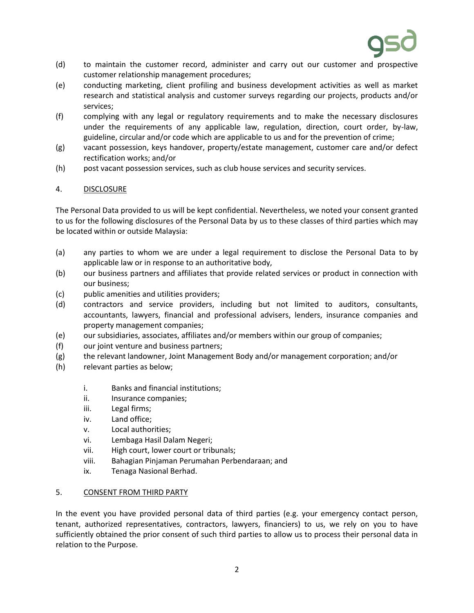

- (d) to maintain the customer record, administer and carry out our customer and prospective customer relationship management procedures;
- (e) conducting marketing, client profiling and business development activities as well as market research and statistical analysis and customer surveys regarding our projects, products and/or services;
- (f) complying with any legal or regulatory requirements and to make the necessary disclosures under the requirements of any applicable law, regulation, direction, court order, by-law, guideline, circular and/or code which are applicable to us and for the prevention of crime;
- (g) vacant possession, keys handover, property/estate management, customer care and/or defect rectification works; and/or
- (h) post vacant possession services, such as club house services and security services.

# 4. DISCLOSURE

The Personal Data provided to us will be kept confidential. Nevertheless, we noted your consent granted to us for the following disclosures of the Personal Data by us to these classes of third parties which may be located within or outside Malaysia:

- (a) any parties to whom we are under a legal requirement to disclose the Personal Data to by applicable law or in response to an authoritative body,
- (b) our business partners and affiliates that provide related services or product in connection with our business;
- (c) public amenities and utilities providers;
- (d) contractors and service providers, including but not limited to auditors, consultants, accountants, lawyers, financial and professional advisers, lenders, insurance companies and property management companies;
- (e) our subsidiaries, associates, affiliates and/or members within our group of companies;
- (f) our joint venture and business partners;
- (g) the relevant landowner, Joint Management Body and/or management corporation; and/or
- (h) relevant parties as below;
	- i. Banks and financial institutions;
	- ii. Insurance companies;
	- iii. Legal firms;
	- iv. Land office;
	- v. Local authorities;
	- vi. Lembaga Hasil Dalam Negeri;
	- vii. High court, lower court or tribunals;
	- viii. Bahagian Pinjaman Perumahan Perbendaraan; and
	- ix. Tenaga Nasional Berhad.

# 5. CONSENT FROM THIRD PARTY

In the event you have provided personal data of third parties (e.g. your emergency contact person, tenant, authorized representatives, contractors, lawyers, financiers) to us, we rely on you to have sufficiently obtained the prior consent of such third parties to allow us to process their personal data in relation to the Purpose.